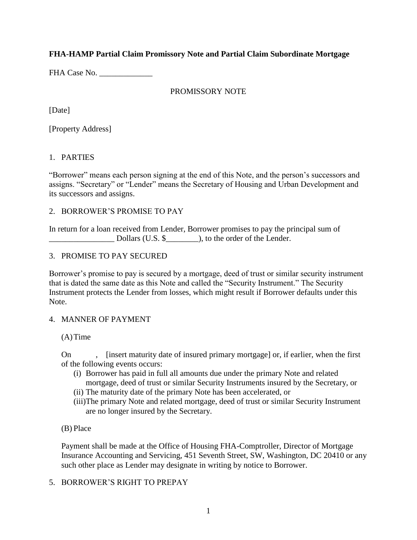## **FHA-HAMP Partial Claim Promissory Note and Partial Claim Subordinate Mortgage**

FHA Case No. \_\_\_\_\_\_\_\_\_\_\_\_\_

## PROMISSORY NOTE

[Date]

[Property Address]

## 1. PARTIES

"Borrower" means each person signing at the end of this Note, and the person's successors and assigns. "Secretary" or "Lender" means the Secretary of Housing and Urban Development and its successors and assigns.

## 2. BORROWER'S PROMISE TO PAY

In return for a loan received from Lender, Borrower promises to pay the principal sum of \_\_\_\_\_\_\_\_\_\_\_\_\_\_\_\_ Dollars (U.S. \$\_\_\_\_\_\_\_\_), to the order of the Lender.

## 3. PROMISE TO PAY SECURED

Borrower's promise to pay is secured by a mortgage, deed of trust or similar security instrument that is dated the same date as this Note and called the "Security Instrument." The Security Instrument protects the Lender from losses, which might result if Borrower defaults under this Note.

## 4. MANNER OF PAYMENT

(A)Time

On , [insert maturity date of insured primary mortgage] or, if earlier, when the first of the following events occurs:

- (i) Borrower has paid in full all amounts due under the primary Note and related mortgage, deed of trust or similar Security Instruments insured by the Secretary, or
- (ii) The maturity date of the primary Note has been accelerated, or
- (iii)The primary Note and related mortgage, deed of trust or similar Security Instrument are no longer insured by the Secretary.

## (B) Place

Payment shall be made at the Office of Housing FHA-Comptroller, Director of Mortgage Insurance Accounting and Servicing, 451 Seventh Street, SW, Washington, DC 20410 or any such other place as Lender may designate in writing by notice to Borrower.

# 5. BORROWER'S RIGHT TO PREPAY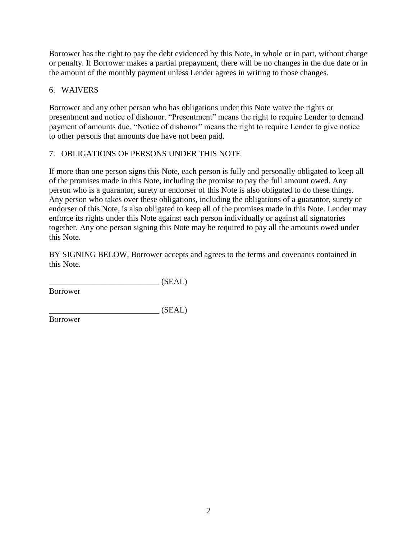Borrower has the right to pay the debt evidenced by this Note, in whole or in part, without charge or penalty. If Borrower makes a partial prepayment, there will be no changes in the due date or in the amount of the monthly payment unless Lender agrees in writing to those changes.

# 6. WAIVERS

Borrower and any other person who has obligations under this Note waive the rights or presentment and notice of dishonor. "Presentment" means the right to require Lender to demand payment of amounts due. "Notice of dishonor" means the right to require Lender to give notice to other persons that amounts due have not been paid.

# 7. OBLIGATIONS OF PERSONS UNDER THIS NOTE

If more than one person signs this Note, each person is fully and personally obligated to keep all of the promises made in this Note, including the promise to pay the full amount owed. Any person who is a guarantor, surety or endorser of this Note is also obligated to do these things. Any person who takes over these obligations, including the obligations of a guarantor, surety or endorser of this Note, is also obligated to keep all of the promises made in this Note. Lender may enforce its rights under this Note against each person individually or against all signatories together. Any one person signing this Note may be required to pay all the amounts owed under this Note.

BY SIGNING BELOW, Borrower accepts and agrees to the terms and covenants contained in this Note.

 $(SEAL)$ 

Borrower

 $(SEAL)$ 

Borrower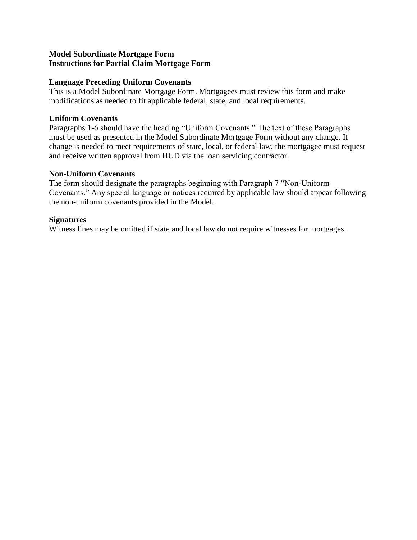### **Model Subordinate Mortgage Form Instructions for Partial Claim Mortgage Form**

#### **Language Preceding Uniform Covenants**

This is a Model Subordinate Mortgage Form. Mortgagees must review this form and make modifications as needed to fit applicable federal, state, and local requirements.

### **Uniform Covenants**

Paragraphs 1-6 should have the heading "Uniform Covenants." The text of these Paragraphs must be used as presented in the Model Subordinate Mortgage Form without any change. If change is needed to meet requirements of state, local, or federal law, the mortgagee must request and receive written approval from HUD via the loan servicing contractor.

#### **Non-Uniform Covenants**

The form should designate the paragraphs beginning with Paragraph 7 "Non-Uniform Covenants." Any special language or notices required by applicable law should appear following the non-uniform covenants provided in the Model.

#### **Signatures**

Witness lines may be omitted if state and local law do not require witnesses for mortgages.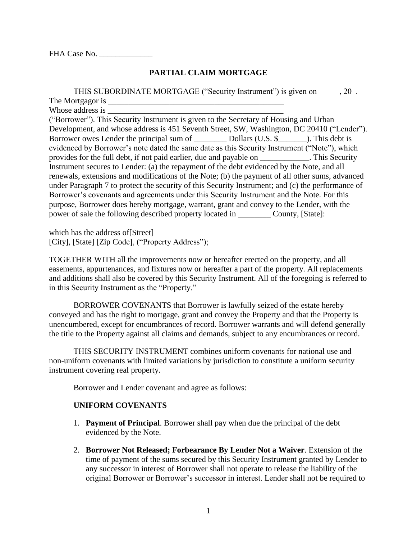FHA Case No.

## **PARTIAL CLAIM MORTGAGE**

| THIS SUBORDINATE MORTGAGE ("Security Instrument") is given on                                     | $.20$ . |
|---------------------------------------------------------------------------------------------------|---------|
| The Mortgagor is ______                                                                           |         |
| Whose address is                                                                                  |         |
| ("Borrower"). This Security Instrument is given to the Secretary of Housing and Urban             |         |
| Development, and whose address is 451 Seventh Street, SW, Washington, DC 20410 ("Lender").        |         |
|                                                                                                   |         |
| evidenced by Borrower's note dated the same date as this Security Instrument ("Note"), which      |         |
| provides for the full debt, if not paid earlier, due and payable on ____________. This Security   |         |
| Instrument secures to Lender: (a) the repayment of the debt evidenced by the Note, and all        |         |
| renewals, extensions and modifications of the Note; (b) the payment of all other sums, advanced   |         |
| under Paragraph 7 to protect the security of this Security Instrument; and (c) the performance of |         |
| Borrower's covenants and agreements under this Security Instrument and the Note. For this         |         |
| purpose, Borrower does hereby mortgage, warrant, grant and convey to the Lender, with the         |         |
|                                                                                                   |         |

which has the address of[Street] [City], [State] [Zip Code], ("Property Address");

TOGETHER WITH all the improvements now or hereafter erected on the property, and all easements, appurtenances, and fixtures now or hereafter a part of the property. All replacements and additions shall also be covered by this Security Instrument. All of the foregoing is referred to in this Security Instrument as the "Property."

BORROWER COVENANTS that Borrower is lawfully seized of the estate hereby conveyed and has the right to mortgage, grant and convey the Property and that the Property is unencumbered, except for encumbrances of record. Borrower warrants and will defend generally the title to the Property against all claims and demands, subject to any encumbrances or record.

THIS SECURITY INSTRUMENT combines uniform covenants for national use and non-uniform covenants with limited variations by jurisdiction to constitute a uniform security instrument covering real property.

Borrower and Lender covenant and agree as follows:

## **UNIFORM COVENANTS**

- 1. **Payment of Principal**. Borrower shall pay when due the principal of the debt evidenced by the Note.
- 2. **Borrower Not Released; Forbearance By Lender Not a Waiver**. Extension of the time of payment of the sums secured by this Security Instrument granted by Lender to any successor in interest of Borrower shall not operate to release the liability of the original Borrower or Borrower's successor in interest. Lender shall not be required to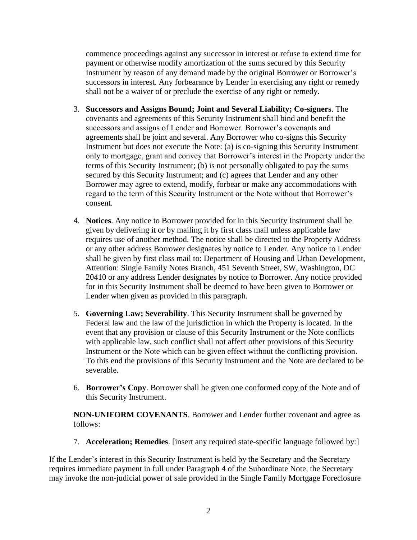commence proceedings against any successor in interest or refuse to extend time for payment or otherwise modify amortization of the sums secured by this Security Instrument by reason of any demand made by the original Borrower or Borrower's successors in interest. Any forbearance by Lender in exercising any right or remedy shall not be a waiver of or preclude the exercise of any right or remedy.

- 3. **Successors and Assigns Bound; Joint and Several Liability; Co-signers**. The covenants and agreements of this Security Instrument shall bind and benefit the successors and assigns of Lender and Borrower. Borrower's covenants and agreements shall be joint and several. Any Borrower who co-signs this Security Instrument but does not execute the Note: (a) is co-signing this Security Instrument only to mortgage, grant and convey that Borrower's interest in the Property under the terms of this Security Instrument; (b) is not personally obligated to pay the sums secured by this Security Instrument; and (c) agrees that Lender and any other Borrower may agree to extend, modify, forbear or make any accommodations with regard to the term of this Security Instrument or the Note without that Borrower's consent.
- 4. **Notices**. Any notice to Borrower provided for in this Security Instrument shall be given by delivering it or by mailing it by first class mail unless applicable law requires use of another method. The notice shall be directed to the Property Address or any other address Borrower designates by notice to Lender. Any notice to Lender shall be given by first class mail to: Department of Housing and Urban Development, Attention: Single Family Notes Branch, 451 Seventh Street, SW, Washington, DC 20410 or any address Lender designates by notice to Borrower. Any notice provided for in this Security Instrument shall be deemed to have been given to Borrower or Lender when given as provided in this paragraph.
- 5. **Governing Law; Severability**. This Security Instrument shall be governed by Federal law and the law of the jurisdiction in which the Property is located. In the event that any provision or clause of this Security Instrument or the Note conflicts with applicable law, such conflict shall not affect other provisions of this Security Instrument or the Note which can be given effect without the conflicting provision. To this end the provisions of this Security Instrument and the Note are declared to be severable.
- 6. **Borrower's Copy**. Borrower shall be given one conformed copy of the Note and of this Security Instrument.

**NON-UNIFORM COVENANTS**. Borrower and Lender further covenant and agree as follows:

7. **Acceleration; Remedies**. [insert any required state-specific language followed by:]

If the Lender's interest in this Security Instrument is held by the Secretary and the Secretary requires immediate payment in full under Paragraph 4 of the Subordinate Note, the Secretary may invoke the non-judicial power of sale provided in the Single Family Mortgage Foreclosure